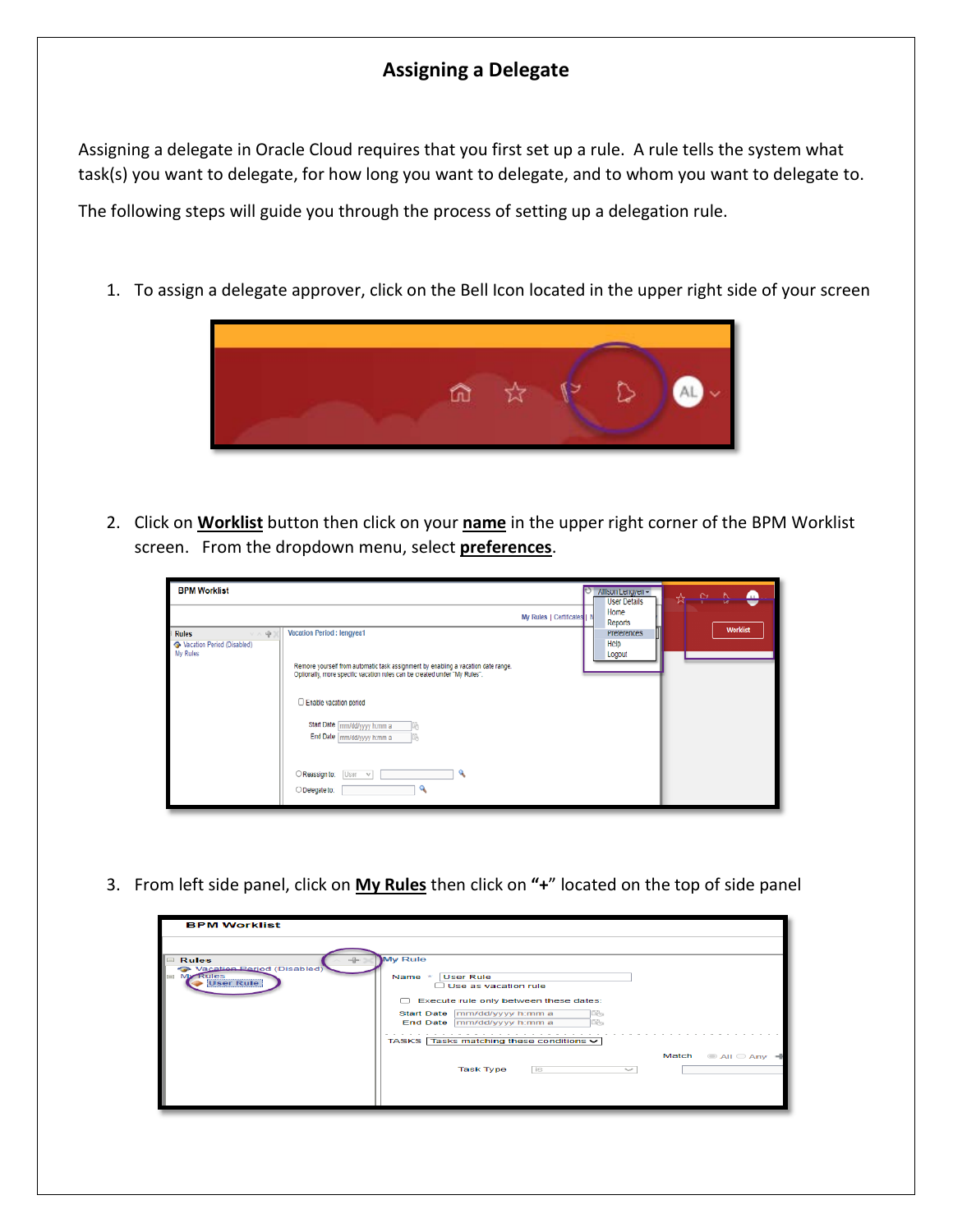## **Assigning a Delegate**

Assigning a delegate in Oracle Cloud requires that you first set up a rule. A rule tells the system what task(s) you want to delegate, for how long you want to delegate, and to whom you want to delegate to.

The following steps will guide you through the process of setting up a delegation rule.

1. To assign a delegate approver, click on the Bell Icon located in the upper right side of your screen



2. Click on **Worklist** button then click on your **name** in the upper right corner of the BPM Worklist screen. From the dropdown menu, select **preferences**.

| <b>BPM Worklist</b>                                              |                                                                                                                                                                          |                             | Allison Lengyen -<br><b>User Details</b>                | e<br>$\mathbf{c}$<br>⊕<br>☆⊢ |
|------------------------------------------------------------------|--------------------------------------------------------------------------------------------------------------------------------------------------------------------------|-----------------------------|---------------------------------------------------------|------------------------------|
| <b>Rules</b><br>v n 帝)<br>Vacation Period (Disabled)<br>My Rules | Vacation Period : lengyea1<br>Remove yourself from automatic task assignment by enabling a vacation date range.                                                          | My Rules   Certificates   N | Home<br>Reports<br><b>Preferences</b><br>Help<br>Logout | <b>Worklist</b>              |
|                                                                  | Optionally, more specific vacation rules can be created under "My Rules".<br>Enable vacation period<br>Start Date [mm/dd/yyyy h.mm a<br>End Date mm/dd/yyyy h:mm a<br>ß. |                             |                                                         |                              |
|                                                                  | $\bigcirc$ Reassign to: User $\vee$<br>O Delegate to:<br>ч                                                                                                               |                             |                                                         |                              |

3. From left side panel, click on **My Rules** then click on **"+**" located on the top of side panel

| <b>BPM Worklist</b>                                                        |                                                                                                                                                                                                                                              |       |             |
|----------------------------------------------------------------------------|----------------------------------------------------------------------------------------------------------------------------------------------------------------------------------------------------------------------------------------------|-------|-------------|
| <b>Rules</b><br>Vacation Period (Disabled)<br>My Rules<br><b>User Rule</b> | My Rule<br><b>User Rule</b><br>Name *<br>$\Box$ Use as vacation rule<br>Execute rule only between these dates:<br>n.<br>Start Date mm/dd/yyyy h:mm a<br>lE-,<br>lth<br>End Date mm/dd/yyyy h:mm a<br>TASKS Tasks matching these conditions v |       |             |
|                                                                            | <b>Task Type</b><br>İS.<br>$\widetilde{\phantom{m}}$                                                                                                                                                                                         | Match | © All ○ Any |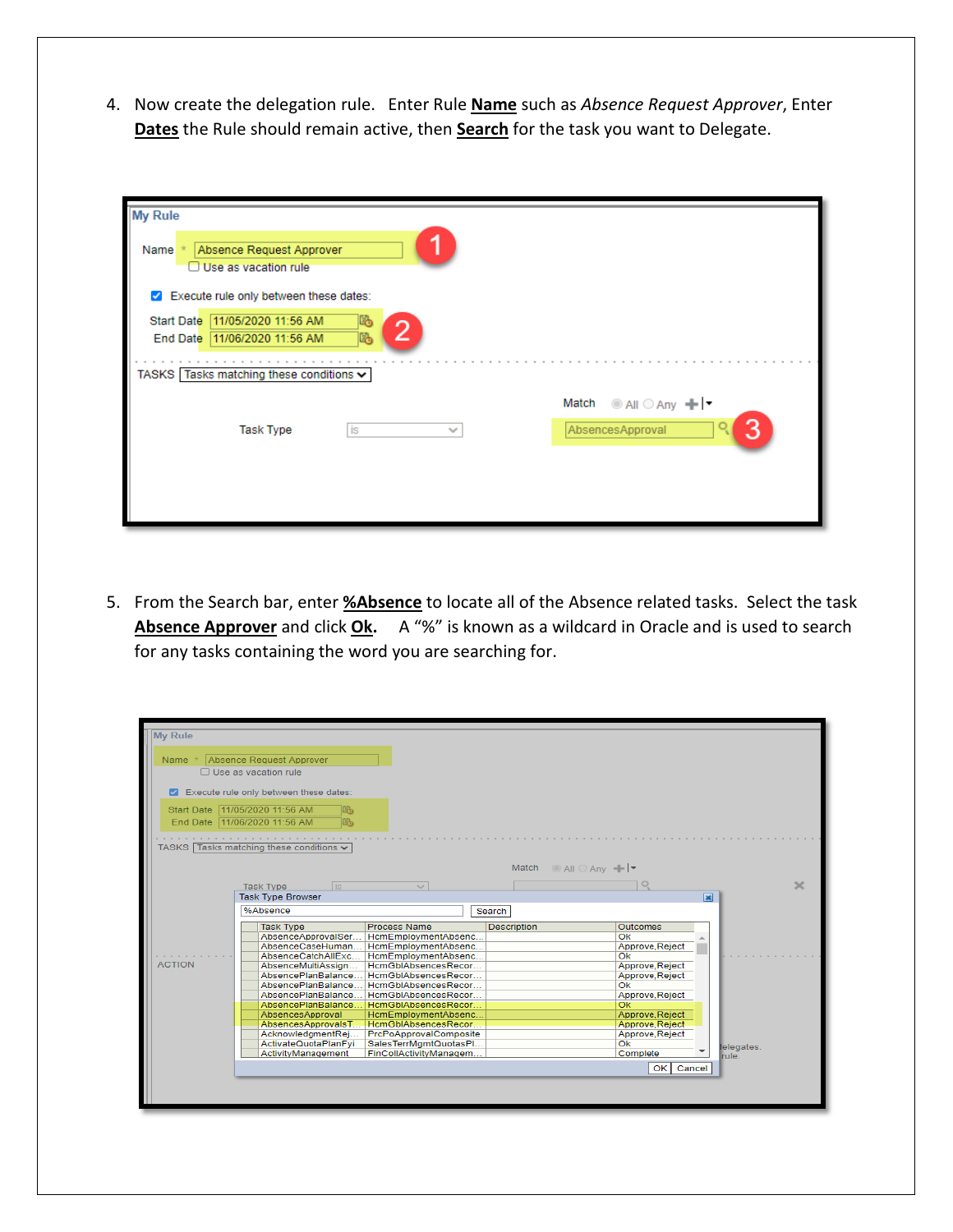4. Now create the delegation rule. Enter Rule **Name** such as *Absence Request Approver*, Enter **Dates** the Rule should remain active, then **Search** for the task you want to Delegate.

| My Rule<br>Absence Request Approver<br>Name <sup>3</sup><br>$\Box$ Use as vacation rule |                          |  |  |  |  |  |
|-----------------------------------------------------------------------------------------|--------------------------|--|--|--|--|--|
| Execute rule only between these dates:<br>$\blacktriangledown$                          |                          |  |  |  |  |  |
| 11/05/2020 11:56 AM<br>r.<br>Start Date<br>11/06/2020 11:56 AM<br>End Date<br>Lò.       |                          |  |  |  |  |  |
| TASKS Tasks matching these conditions ↓                                                 |                          |  |  |  |  |  |
|                                                                                         | ◉ All ◯ Any + F<br>Match |  |  |  |  |  |
| <b>Task Type</b><br>İS<br>$\sim$                                                        | 3<br>AbsencesApproval    |  |  |  |  |  |
|                                                                                         |                          |  |  |  |  |  |
|                                                                                         |                          |  |  |  |  |  |
|                                                                                         |                          |  |  |  |  |  |

5. From the Search bar, enter **%Absence** to locate all of the Absence related tasks. Select the task Absence Approver and click Ok. A "%" is known as a wildcard in Oracle and is used to search for any tasks containing the word you are searching for.

| <b>My Rule</b> |                                                                                                                                                                                                                                                                                                                                                                                                                                                                                                                                                                                                                                                                          |                                                                                                                                                                                                                              |
|----------------|--------------------------------------------------------------------------------------------------------------------------------------------------------------------------------------------------------------------------------------------------------------------------------------------------------------------------------------------------------------------------------------------------------------------------------------------------------------------------------------------------------------------------------------------------------------------------------------------------------------------------------------------------------------------------|------------------------------------------------------------------------------------------------------------------------------------------------------------------------------------------------------------------------------|
| Name $*$       | Absence Request Approver<br>$\Box$ Use as vacation rule                                                                                                                                                                                                                                                                                                                                                                                                                                                                                                                                                                                                                  |                                                                                                                                                                                                                              |
|                | Z Execute rule only between these dates:                                                                                                                                                                                                                                                                                                                                                                                                                                                                                                                                                                                                                                 |                                                                                                                                                                                                                              |
|                | Start Date 11/05/2020 11:56 AM<br>le.<br>End Date 11/06/2020 11:56 AM<br>le.                                                                                                                                                                                                                                                                                                                                                                                                                                                                                                                                                                                             |                                                                                                                                                                                                                              |
|                | TASKS Tasks matching these conditions v                                                                                                                                                                                                                                                                                                                                                                                                                                                                                                                                                                                                                                  |                                                                                                                                                                                                                              |
|                | Match $\odot$ All $\odot$ Any $\blacksquare$                                                                                                                                                                                                                                                                                                                                                                                                                                                                                                                                                                                                                             |                                                                                                                                                                                                                              |
|                | <b>Task Type</b><br><b>is</b><br>$\sim$<br><b>Task Type Browser</b>                                                                                                                                                                                                                                                                                                                                                                                                                                                                                                                                                                                                      | $\propto$<br>$\overline{\mathbf{x}}$                                                                                                                                                                                         |
|                | %Absence<br>Search                                                                                                                                                                                                                                                                                                                                                                                                                                                                                                                                                                                                                                                       |                                                                                                                                                                                                                              |
| <b>ACTION</b>  | <b>Process Name</b><br><b>Task Type</b><br><b>Description</b><br>AbsenceApprovalSer<br>HcmEmploymentAbsenc<br>AbsenceCaseHuman<br>HcmEmploymentAbsenc<br>AbsenceCatchAllExc<br>HcmEmploymentAbsenc<br>HcmGbIAbsencesRecor<br>AbsenceMultiAssign<br>AbsencePlanBalance<br>HcmGblAbsencesRecor<br>AbsencePlanBalance<br>HcmGblAbsencesRecor<br>AbsencePlanBalance<br>HcmGbIAbsencesRecor<br>AbsencePlanBalance<br>HcmGblAbsencesRecor<br>HcmEmploymentAbsenc<br>AbsencesApproval<br>AbsencesApprovalsT HcmGbIAbsencesRecor<br>PrcPoApprovalComposite<br>AcknowledgmentRej<br>ActivateQuotaPlanFvi<br>SalesTerrMgmtQuotasPl<br>ActivityManagement<br>FinCollActivityManagem | Outcomes<br>Ok<br>Approve, Reject<br>Ok<br>Approve, Reject<br>Approve, Reject<br>Ok<br>Approve, Reject<br>Ok<br>Approve, Reject<br>Approve, Reject<br>Approve, Reject<br>Ok.<br>lelegates.<br>Complete<br>rule.<br>OK Cancel |
|                |                                                                                                                                                                                                                                                                                                                                                                                                                                                                                                                                                                                                                                                                          |                                                                                                                                                                                                                              |
|                |                                                                                                                                                                                                                                                                                                                                                                                                                                                                                                                                                                                                                                                                          |                                                                                                                                                                                                                              |